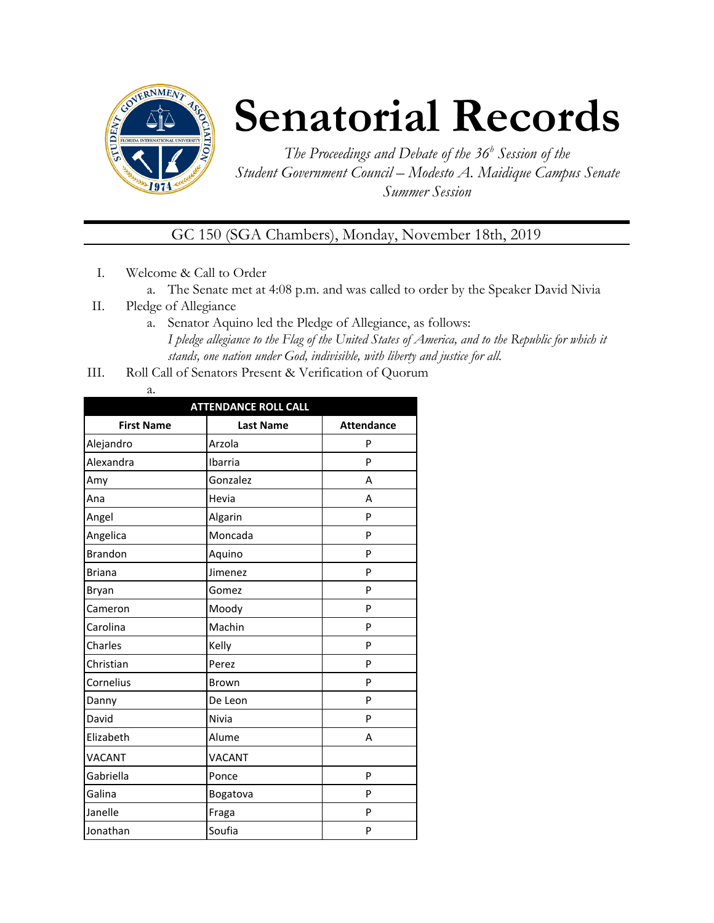

# **Senatorial Records**

*The Proceedings and Debate of the 36 <sup>h</sup> Session of the Student Government Council – Modesto A. Maidique Campus Senate Summer Session*

GC 150 (SGA Chambers), Monday, November 18th, 2019

- I. Welcome & Call to Order
	- a. The Senate met at 4:08 p.m. and was called to order by the Speaker David Nivia
- II. Pledge of Allegiance
	- a. Senator Aquino led the Pledge of Allegiance, as follows: *I pledge allegiance to the Flag of the United States of America, and to the Republic for which it stands, one nation under God, indivisible, with liberty and justice for all.*
- III. Roll Call of Senators Present & Verification of Quorum
	- a.

| <b>ATTENDANCE ROLL CALL</b> |                  |                   |  |  |
|-----------------------------|------------------|-------------------|--|--|
| <b>First Name</b>           | <b>Last Name</b> | <b>Attendance</b> |  |  |
| Alejandro                   | Arzola           | P                 |  |  |
| Alexandra                   | Ibarria          | P                 |  |  |
| Amy                         | Gonzalez         | А                 |  |  |
| Ana                         | Hevia            | A                 |  |  |
| Angel                       | Algarin          | P                 |  |  |
| Angelica                    | Moncada          | P                 |  |  |
| <b>Brandon</b>              | Aquino           | P                 |  |  |
| <b>Briana</b>               | Jimenez          | P                 |  |  |
| Bryan                       | Gomez            | P                 |  |  |
| Cameron                     | Moody            | P                 |  |  |
| Carolina                    | Machin           | P                 |  |  |
| Charles                     | Kelly            | P                 |  |  |
| Christian                   | Perez            | P                 |  |  |
| Cornelius                   | Brown            | P                 |  |  |
| Danny                       | De Leon          | P                 |  |  |
| David                       | Nivia            | P                 |  |  |
| Elizabeth                   | Alume            | Α                 |  |  |
| <b>VACANT</b>               | VACANT           |                   |  |  |
| Gabriella                   | Ponce            | P                 |  |  |
| Galina                      | Bogatova         | P                 |  |  |
| Janelle                     | Fraga            | P                 |  |  |
| Jonathan                    | Soufia           | P                 |  |  |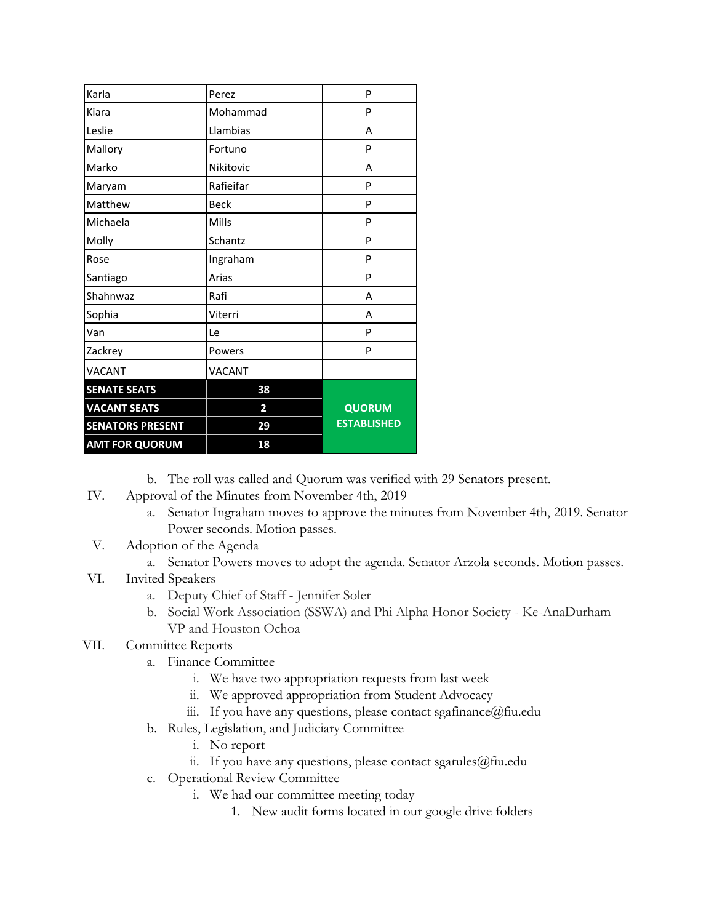| Karla                   | Perez          | P                  |
|-------------------------|----------------|--------------------|
| Kiara                   | Mohammad       | P                  |
| Leslie                  | Llambias       | A                  |
| Mallory                 | Fortuno        | P                  |
| Marko                   | Nikitovic      | А                  |
| Maryam                  | Rafieifar      | P                  |
| Matthew                 | <b>Beck</b>    | P                  |
| Michaela                | Mills          | P                  |
| Molly                   | Schantz        | P                  |
| Rose                    | Ingraham       | P                  |
| Santiago                | Arias          | P                  |
| Shahnwaz                | Rafi           | А                  |
| Sophia                  | Viterri        | А                  |
| Van                     | Le             | P                  |
| Zackrey                 | Powers         | P                  |
| <b>VACANT</b>           | <b>VACANT</b>  |                    |
| <b>SENATE SEATS</b>     | 38             |                    |
| <b>VACANT SEATS</b>     | $\overline{2}$ | <b>QUORUM</b>      |
| <b>SENATORS PRESENT</b> | 29             | <b>ESTABLISHED</b> |
| <b>AMT FOR QUORUM</b>   | 18             |                    |

b. The roll was called and Quorum was verified with 29 Senators present.

- IV. Approval of the Minutes from November 4th, 2019
	- a. Senator Ingraham moves to approve the minutes from November 4th, 2019. Senator Power seconds. Motion passes.
- V. Adoption of the Agenda
	- a. Senator Powers moves to adopt the agenda. Senator Arzola seconds. Motion passes.
- VI. Invited Speakers
	- a. Deputy Chief of Staff Jennifer Soler
	- b. Social Work Association (SSWA) and Phi Alpha Honor Society Ke-AnaDurham VP and Houston Ochoa
- VII. Committee Reports
	- a. Finance Committee
		- i. We have two appropriation requests from last week
		- ii. We approved appropriation from Student Advocacy
		- iii. If you have any questions, please contact sgafinance  $@$  fiu.edu
	- b. Rules, Legislation, and Judiciary Committee
		- i. No report
		- ii. If you have any questions, please contact sgarules@fiu.edu
	- c. Operational Review Committee
		- i. We had our committee meeting today
			- 1. New audit forms located in our google drive folders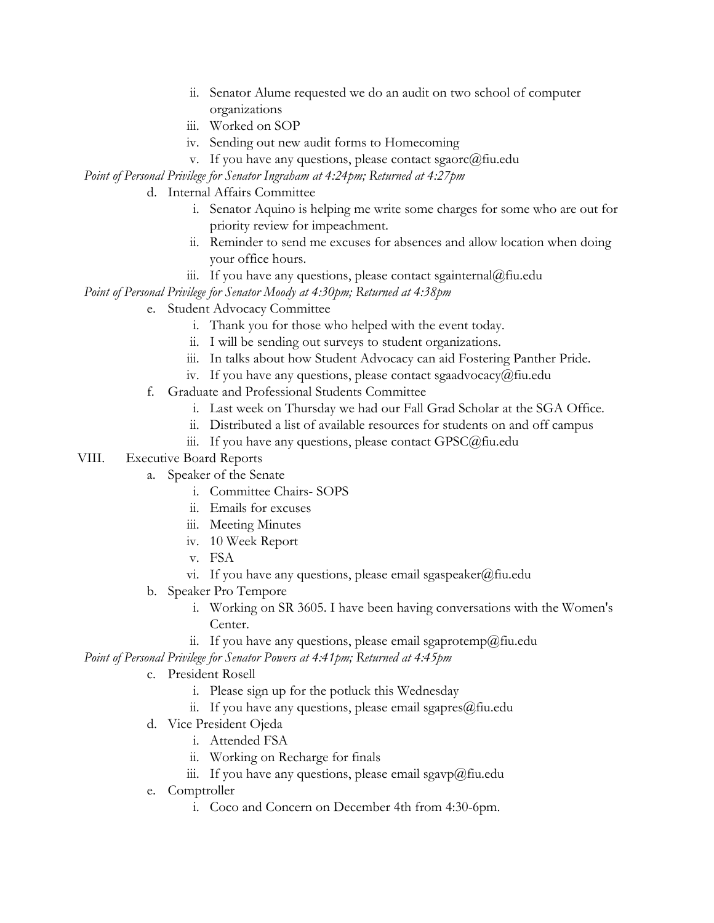- ii. Senator Alume requested we do an audit on two school of computer organizations
- iii. Worked on SOP
- iv. Sending out new audit forms to Homecoming
- v. If you have any questions, please contact sgaorc@fiu.edu

*Point of Personal Privilege for Senator Ingraham at 4:24pm; Returned at 4:27pm*

- d. Internal Affairs Committee
	- i. Senator Aquino is helping me write some charges for some who are out for priority review for impeachment.
	- ii. Reminder to send me excuses for absences and allow location when doing your office hours.
	- iii. If you have any questions, please contact sgainternal@fiu.edu

*Point of Personal Privilege for Senator Moody at 4:30pm; Returned at 4:38pm*

- e. Student Advocacy Committee
	- i. Thank you for those who helped with the event today.
	- ii. I will be sending out surveys to student organizations.
	- iii. In talks about how Student Advocacy can aid Fostering Panther Pride.
	- iv. If you have any questions, please contact sgaadvocacy@fiu.edu
- f. Graduate and Professional Students Committee
	- i. Last week on Thursday we had our Fall Grad Scholar at the SGA Office.
	- ii. Distributed a list of available resources for students on and off campus
	- iii. If you have any questions, please contact GPSC@fiu.edu

#### VIII. Executive Board Reports

- a. Speaker of the Senate
	- i. Committee Chairs- SOPS
	- ii. Emails for excuses
	- iii. Meeting Minutes
	- iv. 10 Week Report
	- v. FSA
	- vi. If you have any questions, please email sgaspeaker@fiu.edu
- b. Speaker Pro Tempore
	- i. Working on SR 3605. I have been having conversations with the Women's Center.
	- ii. If you have any questions, please email sgaprotemp@fiu.edu

*Point of Personal Privilege for Senator Powers at 4:41pm; Returned at 4:45pm*

- c. President Rosell
	- i. Please sign up for the potluck this Wednesday
	- ii. If you have any questions, please email sgapres $@$ fiu.edu
- d. Vice President Ojeda
	- i. Attended FSA
	- ii. Working on Recharge for finals
	- iii. If you have any questions, please email sgavp@fiu.edu
- e. Comptroller
	- i. Coco and Concern on December 4th from 4:30-6pm.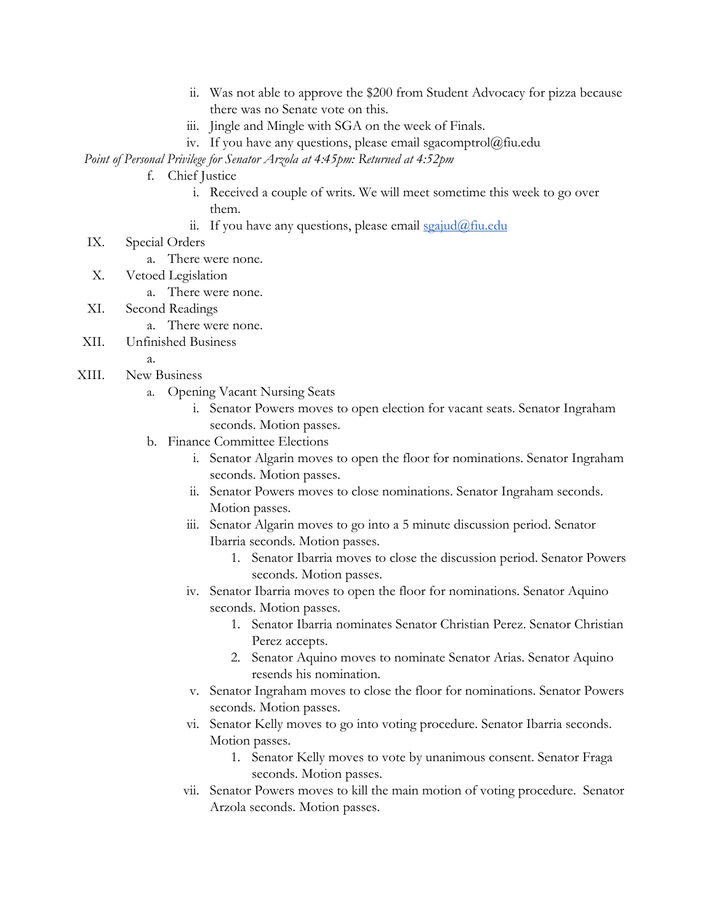- ii. Was not able to approve the \$200 from Student Advocacy for pizza because there was no Senate vote on this.
- iii. Jingle and Mingle with SGA on the week of Finals.
- iv. If you have any questions, please email sgacomptrol@fiu.edu

*Point of Personal Privilege for Senator Arzola at 4:45pm: Returned at 4:52pm*

- f. Chief Justice
	- i. Received a couple of writs. We will meet sometime this week to go over them.
	- ii. If you have any questions, please email  $\frac{\sigma}{\sigma}$  in  $\frac{\sigma}{\sigma}$
- IX. Special Orders
	- a. There were none.
- X. Vetoed Legislation
	- a. There were none.
- XI. Second Readings
	- a. There were none.
- XII. Unfinished Business
	- a.
- XIII. New Business
	- a. Opening Vacant Nursing Seats
		- i. Senator Powers moves to open election for vacant seats. Senator Ingraham seconds. Motion passes.
	- b. Finance Committee Elections
		- i. Senator Algarin moves to open the floor for nominations. Senator Ingraham seconds. Motion passes.
		- ii. Senator Powers moves to close nominations. Senator Ingraham seconds. Motion passes.
		- iii. Senator Algarin moves to go into a 5 minute discussion period. Senator Ibarria seconds. Motion passes.
			- 1. Senator Ibarria moves to close the discussion period. Senator Powers seconds. Motion passes.
		- iv. Senator Ibarria moves to open the floor for nominations. Senator Aquino seconds. Motion passes.
			- 1. Senator Ibarria nominates Senator Christian Perez. Senator Christian Perez accepts.
			- 2. Senator Aquino moves to nominate Senator Arias. Senator Aquino resends his nomination.
		- v. Senator Ingraham moves to close the floor for nominations. Senator Powers seconds. Motion passes.
		- vi. Senator Kelly moves to go into voting procedure. Senator Ibarria seconds. Motion passes.
			- 1. Senator Kelly moves to vote by unanimous consent. Senator Fraga seconds. Motion passes.
		- vii. Senator Powers moves to kill the main motion of voting procedure. Senator Arzola seconds. Motion passes.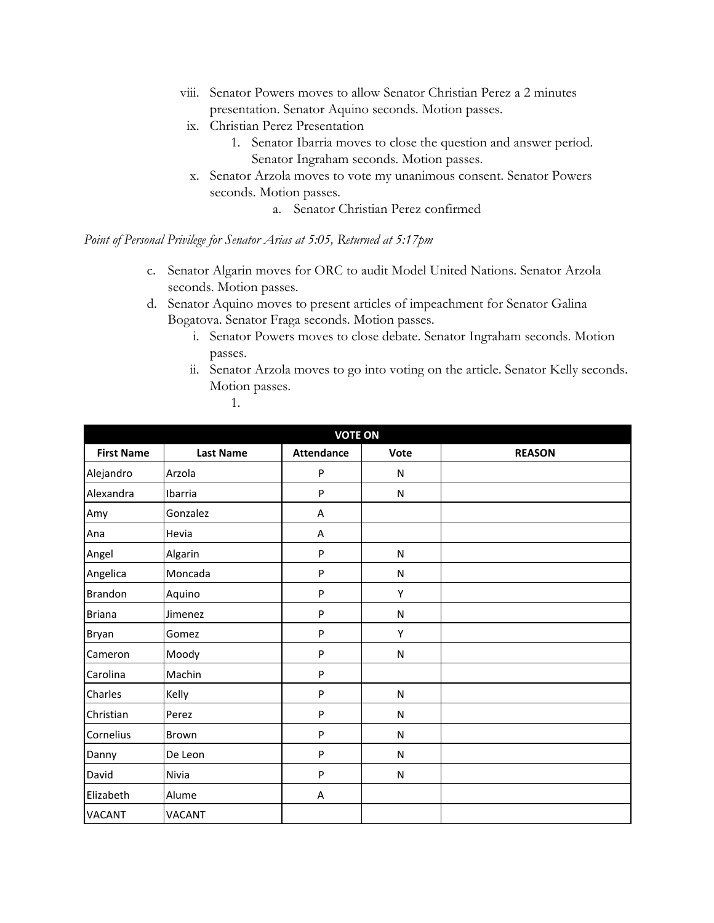- viii. Senator Powers moves to allow Senator Christian Perez a 2 minutes presentation. Senator Aquino seconds. Motion passes.
- ix. Christian Perez Presentation
	- 1. Senator Ibarria moves to close the question and answer period. Senator Ingraham seconds. Motion passes.
- x. Senator Arzola moves to vote my unanimous consent. Senator Powers seconds. Motion passes.
	- a. Senator Christian Perez confirmed

*Point of Personal Privilege for Senator Arias at 5:05, Returned at 5:17pm*

- c. Senator Algarin moves for ORC to audit Model United Nations. Senator Arzola seconds. Motion passes.
- d. Senator Aquino moves to present articles of impeachment for Senator Galina Bogatova. Senator Fraga seconds. Motion passes.
	- i. Senator Powers moves to close debate. Senator Ingraham seconds. Motion passes.
	- ii. Senator Arzola moves to go into voting on the article. Senator Kelly seconds. Motion passes.
		- 1.

| <b>VOTE ON</b>    |                  |                   |           |               |
|-------------------|------------------|-------------------|-----------|---------------|
| <b>First Name</b> | <b>Last Name</b> | <b>Attendance</b> | Vote      | <b>REASON</b> |
| Alejandro         | Arzola           | $\mathsf{P}$      | N         |               |
| Alexandra         | Ibarria          | $\mathsf{P}$      | ${\sf N}$ |               |
| Amy               | Gonzalez         | A                 |           |               |
| Ana               | Hevia            | A                 |           |               |
| Angel             | Algarin          | $\mathsf{P}$      | N         |               |
| Angelica          | Moncada          | ${\sf P}$         | ${\sf N}$ |               |
| Brandon           | Aquino           | $\mathsf{P}$      | Υ         |               |
| <b>Briana</b>     | Jimenez          | P                 | N         |               |
| Bryan             | Gomez            | P                 | Υ         |               |
| Cameron           | Moody            | ${\sf P}$         | ${\sf N}$ |               |
| Carolina          | Machin           | $\mathsf{P}$      |           |               |
| Charles           | Kelly            | ${\sf P}$         | ${\sf N}$ |               |
| Christian         | Perez            | P                 | ${\sf N}$ |               |
| Cornelius         | Brown            | $\mathsf{P}$      | N         |               |
| Danny             | De Leon          | $\mathsf{P}$      | ${\sf N}$ |               |
| David             | Nivia            | P                 | N         |               |
| Elizabeth         | Alume            | A                 |           |               |
| <b>VACANT</b>     | <b>VACANT</b>    |                   |           |               |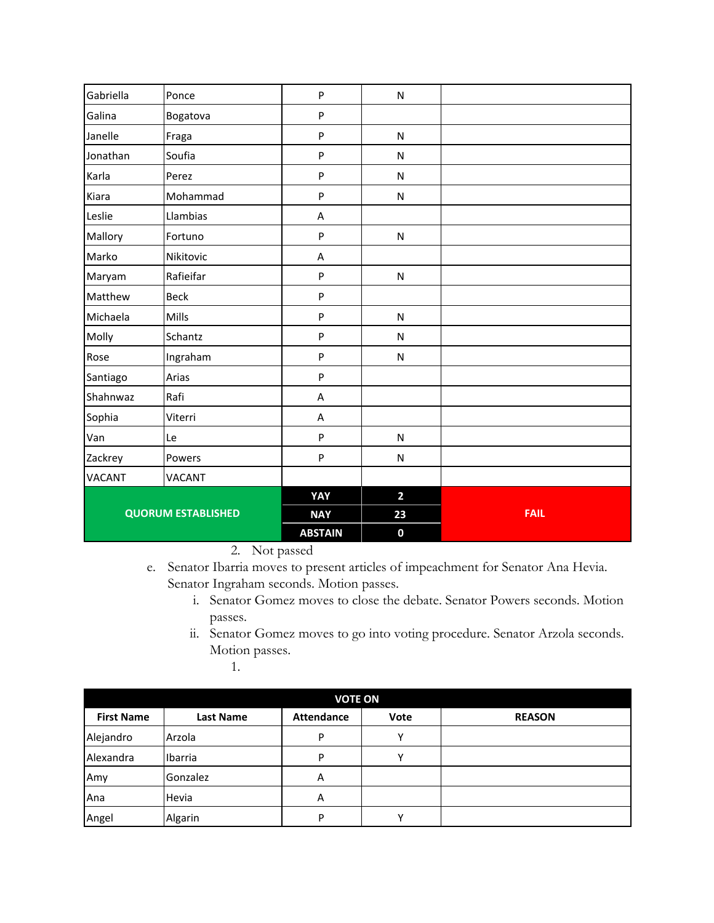| Gabriella                 | Ponce         | P              | ${\sf N}$        |             |
|---------------------------|---------------|----------------|------------------|-------------|
| Galina                    | Bogatova      | ${\sf P}$      |                  |             |
| Janelle                   | Fraga         | ${\sf P}$      | ${\sf N}$        |             |
| Jonathan                  | Soufia        | P              | ${\sf N}$        |             |
| Karla                     | Perez         | P              | ${\sf N}$        |             |
| Kiara                     | Mohammad      | $\mathsf{P}$   | ${\sf N}$        |             |
| Leslie                    | Llambias      | A              |                  |             |
| Mallory                   | Fortuno       | P              | N                |             |
| Marko                     | Nikitovic     | A              |                  |             |
| Maryam                    | Rafieifar     | $\mathsf{P}$   | ${\sf N}$        |             |
| Matthew                   | <b>Beck</b>   | $\sf P$        |                  |             |
| Michaela                  | Mills         | $\sf P$        | ${\sf N}$        |             |
| Molly                     | Schantz       | P              | ${\sf N}$        |             |
| Rose                      | Ingraham      | ${\sf P}$      | ${\sf N}$        |             |
| Santiago                  | Arias         | ${\sf P}$      |                  |             |
| Shahnwaz                  | Rafi          | A              |                  |             |
| Sophia                    | Viterri       | A              |                  |             |
| Van                       | Le            | ${\sf P}$      | ${\sf N}$        |             |
| Zackrey                   | Powers        | ${\sf P}$      | N                |             |
| <b>VACANT</b>             | <b>VACANT</b> |                |                  |             |
|                           |               | YAY            | $\overline{2}$   |             |
| <b>QUORUM ESTABLISHED</b> |               | <b>NAY</b>     | 23               | <b>FAIL</b> |
|                           |               | <b>ABSTAIN</b> | $\boldsymbol{0}$ |             |

2. Not passed

- e. Senator Ibarria moves to present articles of impeachment for Senator Ana Hevia. Senator Ingraham seconds. Motion passes.
	- i. Senator Gomez moves to close the debate. Senator Powers seconds. Motion passes.
	- ii. Senator Gomez moves to go into voting procedure. Senator Arzola seconds. Motion passes.

1.

| <b>VOTE ON</b>    |                  |                   |              |               |  |
|-------------------|------------------|-------------------|--------------|---------------|--|
| <b>First Name</b> | <b>Last Name</b> | <b>Attendance</b> | Vote         | <b>REASON</b> |  |
| Alejandro         | Arzola           | P                 | v            |               |  |
| Alexandra         | Ibarria          | P                 | $\checkmark$ |               |  |
| Amy               | Gonzalez         | Α                 |              |               |  |
| Ana               | Hevia            | Α                 |              |               |  |
| Angel             | Algarin          | P                 |              |               |  |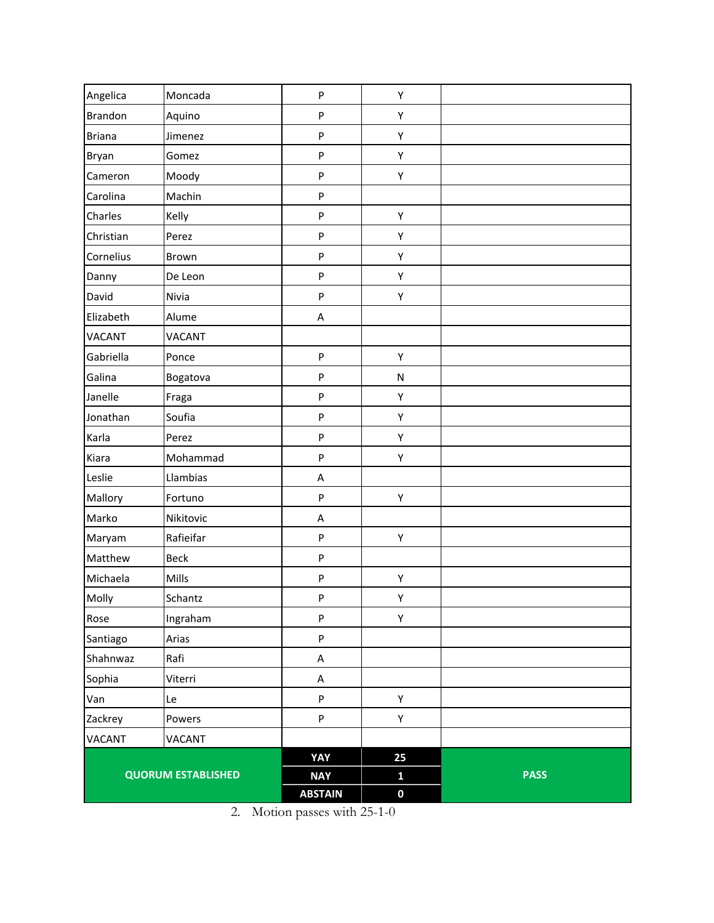| Angelica                  | Moncada       | P              | Υ            |             |
|---------------------------|---------------|----------------|--------------|-------------|
| <b>Brandon</b>            | Aquino        | P              | Υ            |             |
| <b>Briana</b>             | Jimenez       | P              | Υ            |             |
| Bryan                     | Gomez         | P              | Υ            |             |
| Cameron                   | Moody         | P              | Υ            |             |
| Carolina                  | Machin        | P              |              |             |
| Charles                   | Kelly         | P              | Υ            |             |
| Christian                 | Perez         | P              | Υ            |             |
| Cornelius                 | Brown         | P              | Υ            |             |
| Danny                     | De Leon       | P              | Υ            |             |
| David                     | Nivia         | P              | Υ            |             |
| Elizabeth                 | Alume         | $\sf A$        |              |             |
| <b>VACANT</b>             | <b>VACANT</b> |                |              |             |
| Gabriella                 | Ponce         | P              | Υ            |             |
| Galina                    | Bogatova      | P              | ${\sf N}$    |             |
| Janelle                   | Fraga         | P              | Υ            |             |
| Jonathan                  | Soufia        | P              | Υ            |             |
| Karla                     | Perez         | P              | Υ            |             |
| Kiara                     | Mohammad      | P              | Υ            |             |
| Leslie                    | Llambias      | $\sf A$        |              |             |
| Mallory                   | Fortuno       | P              | Υ            |             |
| Marko                     | Nikitovic     | A              |              |             |
| Maryam                    | Rafieifar     | P              | Υ            |             |
| Matthew                   | Beck          | P              |              |             |
| Michaela                  | Mills         | P              | Υ            |             |
| Molly                     | Schantz       | ${\sf P}$      | Υ            |             |
| Rose                      | Ingraham      | P              | Υ            |             |
| Santiago                  | Arias         | P              |              |             |
| Shahnwaz                  | Rafi          | $\sf A$        |              |             |
| Sophia                    | Viterri       | A              |              |             |
| Van                       | Le            | P              | Υ            |             |
| Zackrey                   | Powers        | P              | Υ            |             |
| VACANT                    | VACANT        |                |              |             |
|                           |               | YAY            | 25           |             |
| <b>QUORUM ESTABLISHED</b> |               | <b>NAY</b>     | $\mathbf{1}$ | <b>PASS</b> |
|                           |               | <b>ABSTAIN</b> | $\pmb{0}$    |             |

2. Motion passes with 25-1-0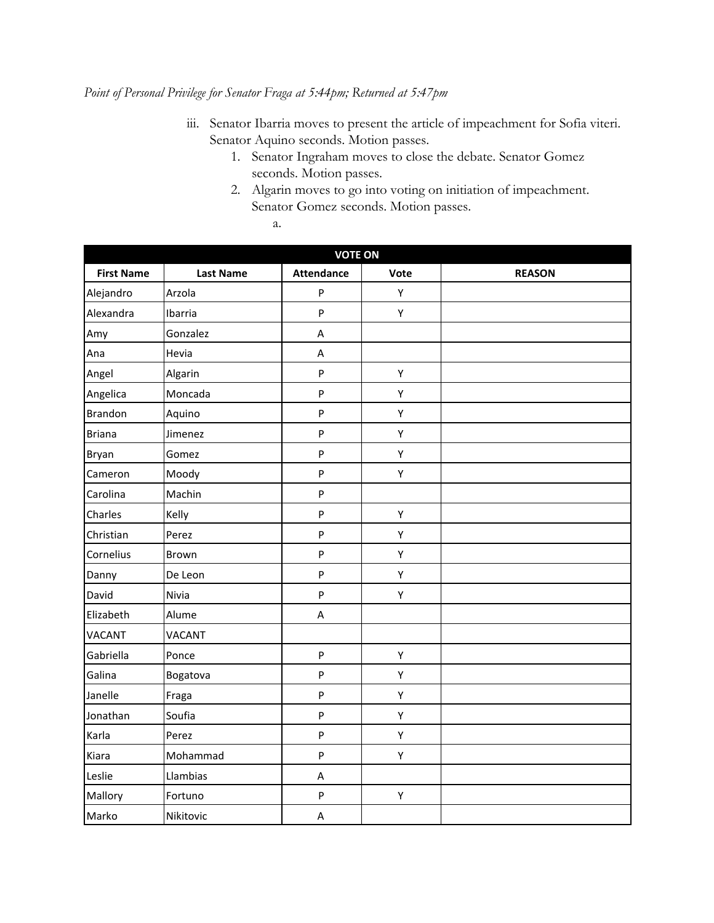## *Point of Personal Privilege for Senator Fraga at 5:44pm; Returned at 5:47pm*

- iii. Senator Ibarria moves to present the article of impeachment for Sofia viteri. Senator Aquino seconds. Motion passes.
	- 1. Senator Ingraham moves to close the debate. Senator Gomez seconds. Motion passes.
	- 2. Algarin moves to go into voting on initiation of impeachment. Senator Gomez seconds. Motion passes.
		- a.

| <b>VOTE ON</b>    |                  |                           |      |               |
|-------------------|------------------|---------------------------|------|---------------|
| <b>First Name</b> | <b>Last Name</b> | <b>Attendance</b>         | Vote | <b>REASON</b> |
| Alejandro         | Arzola           | ${\sf P}$                 | Υ    |               |
| Alexandra         | Ibarria          | $\boldsymbol{\mathsf{P}}$ | Υ    |               |
| Amy               | Gonzalez         | $\sf A$                   |      |               |
| Ana               | Hevia            | $\sf A$                   |      |               |
| Angel             | Algarin          | ${\sf P}$                 | Υ    |               |
| Angelica          | Moncada          | $\sf P$                   | Υ    |               |
| <b>Brandon</b>    | Aquino           | ${\sf P}$                 | Υ    |               |
| <b>Briana</b>     | Jimenez          | ${\sf P}$                 | Υ    |               |
| Bryan             | Gomez            | ${\sf P}$                 | Υ    |               |
| Cameron           | Moody            | $\sf P$                   | Υ    |               |
| Carolina          | Machin           | P                         |      |               |
| Charles           | Kelly            | $\mathsf{P}$              | Υ    |               |
| Christian         | Perez            | $\mathsf{P}$              | Υ    |               |
| Cornelius         | Brown            | $\boldsymbol{\mathsf{P}}$ | Υ    |               |
| Danny             | De Leon          | $\sf P$                   | Υ    |               |
| David             | Nivia            | $\mathsf{P}$              | Υ    |               |
| Elizabeth         | Alume            | A                         |      |               |
| <b>VACANT</b>     | <b>VACANT</b>    |                           |      |               |
| Gabriella         | Ponce            | $\boldsymbol{\mathsf{P}}$ | Υ    |               |
| Galina            | Bogatova         | $\sf P$                   | Υ    |               |
| Janelle           | Fraga            | $\boldsymbol{\mathsf{P}}$ | Υ    |               |
| Jonathan          | Soufia           | $\boldsymbol{\mathsf{P}}$ | Υ    |               |
| Karla             | Perez            | ${\sf P}$                 | Υ    |               |
| Kiara             | Mohammad         | $\sf P$                   | Υ    |               |
| Leslie            | Llambias         | $\sf A$                   |      |               |
| Mallory           | Fortuno          | P                         | Υ    |               |
| Marko             | Nikitovic        | $\sf A$                   |      |               |